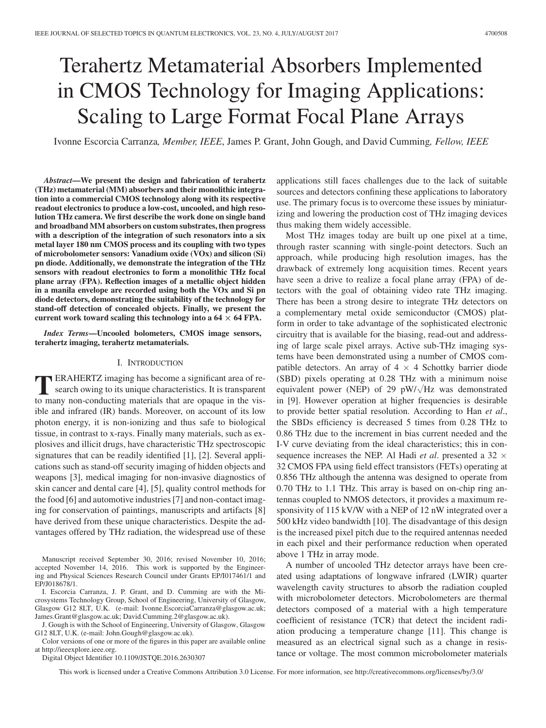# Terahertz Metamaterial Absorbers Implemented in CMOS Technology for Imaging Applications: Scaling to Large Format Focal Plane Arrays

Ivonne Escorcia Carranza*, Member, IEEE*, James P. Grant, John Gough, and David Cumming*, Fellow, IEEE*

*Abstract***—We present the design and fabrication of terahertz (THz) metamaterial (MM) absorbers and their monolithic integration into a commercial CMOS technology along with its respective readout electronics to produce a low-cost, uncooled, and high resolution THz camera. We first describe the work done on single band and broadband MM absorbers on custom substrates, then progress with a description of the integration of such resonators into a six metal layer 180 nm CMOS process and its coupling with two types of microbolometer sensors: Vanadium oxide (VOx) and silicon (Si) pn diode. Additionally, we demonstrate the integration of the THz sensors with readout electronics to form a monolithic THz focal plane array (FPA). Reflection images of a metallic object hidden in a manila envelope are recorded using both the VOx and Si pn diode detectors, demonstrating the suitability of the technology for stand-off detection of concealed objects. Finally, we present the** current work toward scaling this technology into a  $64 \times 64$  FPA.

*Index Terms***—Uncooled bolometers, CMOS image sensors, terahertz imaging, terahertz metamaterials.**

## I. INTRODUCTION

**T**ERAHERTZ imaging has become a significant area of research owing to its unique characteristics. It is transparent to many non-conducting materials that are opaque in the visible and infrared (IR) bands. Moreover, on account of its low photon energy, it is non-ionizing and thus safe to biological tissue, in contrast to x-rays. Finally many materials, such as explosives and illicit drugs, have characteristic THz spectroscopic signatures that can be readily identified [1], [2]. Several applications such as stand-off security imaging of hidden objects and weapons [3], medical imaging for non-invasive diagnostics of skin cancer and dental care [4], [5], quality control methods for the food [6] and automotive industries [7] and non-contact imaging for conservation of paintings, manuscripts and artifacts [8] have derived from these unique characteristics. Despite the advantages offered by THz radiation, the widespread use of these

Manuscript received September 30, 2016; revised November 10, 2016; accepted November 14, 2016. This work is supported by the Engineering and Physical Sciences Research Council under Grants EP/I017461/1 and EP/J018678/1.

J. Gough is with the School of Engineering, University of Glasgow, Glasgow G12 8LT, U.K. (e-mail: John.Gough@glasgow.ac.uk).

Color versions of one or more of the figures in this paper are available online at http://ieeexplore.ieee.org.

Digital Object Identifier 10.1109/JSTQE.2016.2630307

applications still faces challenges due to the lack of suitable sources and detectors confining these applications to laboratory use. The primary focus is to overcome these issues by miniaturizing and lowering the production cost of THz imaging devices thus making them widely accessible.

Most THz images today are built up one pixel at a time, through raster scanning with single-point detectors. Such an approach, while producing high resolution images, has the drawback of extremely long acquisition times. Recent years have seen a drive to realize a focal plane array (FPA) of detectors with the goal of obtaining video rate THz imaging. There has been a strong desire to integrate THz detectors on a complementary metal oxide semiconductor (CMOS) platform in order to take advantage of the sophisticated electronic circuitry that is available for the biasing, read-out and addressing of large scale pixel arrays. Active sub-THz imaging systems have been demonstrated using a number of CMOS compatible detectors. An array of  $4 \times 4$  Schottky barrier diode (SBD) pixels operating at 0.28 THz with a minimum noise equivalent power (NEP) of 29  $pW/\sqrt{Hz}$  was demonstrated in [9]. However operation at higher frequencies is desirable to provide better spatial resolution. According to Han *et al*., the SBDs efficiency is decreased 5 times from 0.28 THz to 0.86 THz due to the increment in bias current needed and the I-V curve deviating from the ideal characteristics; this in consequence increases the NEP. Al Hadi *et al*. presented a 32 *×* 32 CMOS FPA using field effect transistors (FETs) operating at 0.856 THz although the antenna was designed to operate from 0.70 THz to 1.1 THz. This array is based on on-chip ring antennas coupled to NMOS detectors, it provides a maximum responsivity of 115 kV/W with a NEP of 12 nW integrated over a 500 kHz video bandwidth [10]. The disadvantage of this design is the increased pixel pitch due to the required antennas needed in each pixel and their performance reduction when operated above 1 THz in array mode.

A number of uncooled THz detector arrays have been created using adaptations of longwave infrared (LWIR) quarter wavelength cavity structures to absorb the radiation coupled with microbolometer detectors. Microbolometers are thermal detectors composed of a material with a high temperature coefficient of resistance (TCR) that detect the incident radiation producing a temperature change [11]. This change is measured as an electrical signal such as a change in resistance or voltage. The most common microbolometer materials

This work is licensed under a Creative Commons Attribution 3.0 License. For more information, see http://creativecommons.org/licenses/by/3.0/

I. Escorcia Carranza, J. P. Grant, and D. Cumming are with the Microsystems Technology Group, School of Engineering, University of Glasgow, Glasgow G12 8LT, U.K. (e-mail: Ivonne.EscorciaCarranza@glasgow.ac.uk; James.Grant@glasgow.ac.uk; David.Cumming.2@glasgow.ac.uk).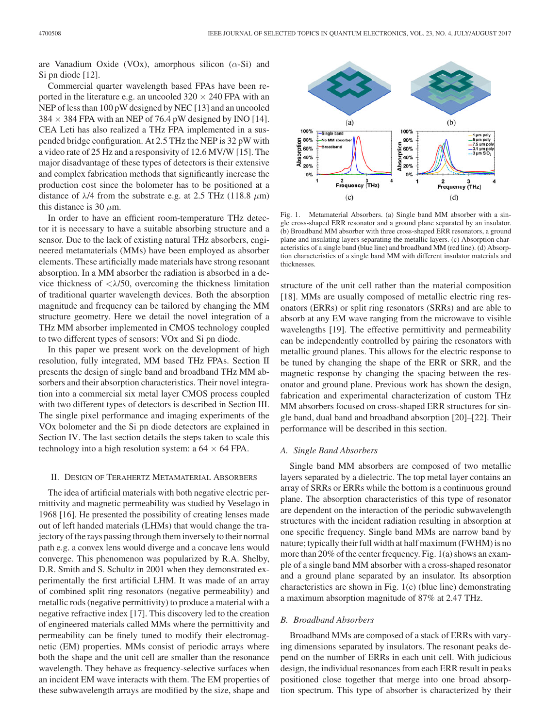are Vanadium Oxide (VOx), amorphous silicon  $(\alpha - Si)$  and Si pn diode [12].

Commercial quarter wavelength based FPAs have been reported in the literature e.g. an uncooled  $320 \times 240$  FPA with an NEP of less than 100 pW designed by NEC [13] and an uncooled  $384 \times 384$  FPA with an NEP of 76.4 pW designed by INO [14]. CEA Leti has also realized a THz FPA implemented in a suspended bridge configuration. At 2.5 THz the NEP is 32 pW with a video rate of 25 Hz and a responsivity of 12.6 MV/W [15]. The major disadvantage of these types of detectors is their extensive and complex fabrication methods that significantly increase the production cost since the bolometer has to be positioned at a distance of  $\lambda$ /4 from the substrate e.g. at 2.5 THz (118.8  $\mu$ m) this distance is 30  $\mu$ m.

In order to have an efficient room-temperature THz detector it is necessary to have a suitable absorbing structure and a sensor. Due to the lack of existing natural THz absorbers, engineered metamaterials (MMs) have been employed as absorber elements. These artificially made materials have strong resonant absorption. In a MM absorber the radiation is absorbed in a device thickness of  $\langle \lambda/50$ , overcoming the thickness limitation of traditional quarter wavelength devices. Both the absorption magnitude and frequency can be tailored by changing the MM structure geometry. Here we detail the novel integration of a THz MM absorber implemented in CMOS technology coupled to two different types of sensors: VOx and Si pn diode.

In this paper we present work on the development of high resolution, fully integrated, MM based THz FPAs. Section II presents the design of single band and broadband THz MM absorbers and their absorption characteristics. Their novel integration into a commercial six metal layer CMOS process coupled with two different types of detectors is described in Section III. The single pixel performance and imaging experiments of the VOx bolometer and the Si pn diode detectors are explained in Section IV. The last section details the steps taken to scale this technology into a high resolution system: a 64 *×* 64 FPA.

## II. DESIGN OF TERAHERTZ METAMATERIAL ABSORBERS

The idea of artificial materials with both negative electric permittivity and magnetic permeability was studied by Veselago in 1968 [16]. He presented the possibility of creating lenses made out of left handed materials (LHMs) that would change the trajectory of the rays passing through them inversely to their normal path e.g. a convex lens would diverge and a concave lens would converge. This phenomenon was popularized by R.A. Shelby, D.R. Smith and S. Schultz in 2001 when they demonstrated experimentally the first artificial LHM. It was made of an array of combined split ring resonators (negative permeability) and metallic rods (negative permittivity) to produce a material with a negative refractive index [17]. This discovery led to the creation of engineered materials called MMs where the permittivity and permeability can be finely tuned to modify their electromagnetic (EM) properties. MMs consist of periodic arrays where both the shape and the unit cell are smaller than the resonance wavelength. They behave as frequency-selective surfaces when an incident EM wave interacts with them. The EM properties of these subwavelength arrays are modified by the size, shape and



Fig. 1. Metamaterial Absorbers. (a) Single band MM absorber with a single cross-shaped ERR resonator and a ground plane separated by an insulator. (b) Broadband MM absorber with three cross-shaped ERR resonators, a ground plane and insulating layers separating the metallic layers. (c) Absorption characteristics of a single band (blue line) and broadband MM (red line). (d) Absorption characteristics of a single band MM with different insulator materials and thicknesses.

structure of the unit cell rather than the material composition [18]. MMs are usually composed of metallic electric ring resonators (ERRs) or split ring resonators (SRRs) and are able to absorb at any EM wave ranging from the microwave to visible wavelengths [19]. The effective permittivity and permeability can be independently controlled by pairing the resonators with metallic ground planes. This allows for the electric response to be tuned by changing the shape of the ERR or SRR, and the magnetic response by changing the spacing between the resonator and ground plane. Previous work has shown the design, fabrication and experimental characterization of custom THz MM absorbers focused on cross-shaped ERR structures for single band, dual band and broadband absorption [20]–[22]. Their performance will be described in this section.

## *A. Single Band Absorbers*

Single band MM absorbers are composed of two metallic layers separated by a dielectric. The top metal layer contains an array of SRRs or ERRs while the bottom is a continuous ground plane. The absorption characteristics of this type of resonator are dependent on the interaction of the periodic subwavelength structures with the incident radiation resulting in absorption at one specific frequency. Single band MMs are narrow band by nature; typically their full width at half maximum (FWHM) is no more than 20% of the center frequency. Fig. 1(a) shows an example of a single band MM absorber with a cross-shaped resonator and a ground plane separated by an insulator. Its absorption characteristics are shown in Fig. 1(c) (blue line) demonstrating a maximum absorption magnitude of 87% at 2.47 THz.

#### *B. Broadband Absorbers*

Broadband MMs are composed of a stack of ERRs with varying dimensions separated by insulators. The resonant peaks depend on the number of ERRs in each unit cell. With judicious design, the individual resonances from each ERR result in peaks positioned close together that merge into one broad absorption spectrum. This type of absorber is characterized by their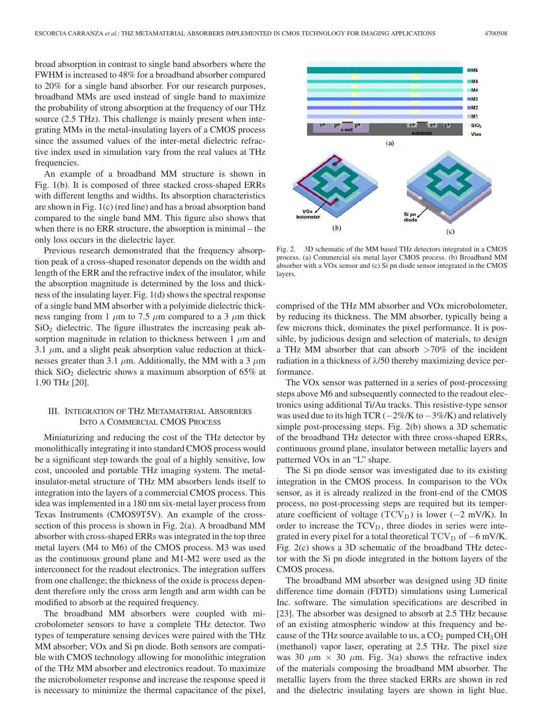broad absorption in contrast to single band absorbers where the FWHM is increased to 48% for a broadband absorber compared to 20% for a single band absorber. For our research purposes, broadband MMs are used instead of single band to maximize the probability of strong absorption at the frequency of our THz source (2.5 THz). This challenge is mainly present when integrating MMs in the metal-insulating layers of a CMOS process since the assumed values of the inter-metal dielectric refractive index used in simulation vary from the real values at THz frequencies.

An example of a broadband MM structure is shown in Fig. 1(b). It is composed of three stacked cross-shaped ERRs with different lengths and widths. Its absorption characteristics are shown in Fig. 1(c) (red line) and has a broad absorption band compared to the single band MM. This figure also shows that when there is no ERR structure, the absorption is minimal – the only loss occurs in the dielectric layer.

Previous research demonstrated that the frequency absorption peak of a cross-shaped resonator depends on the width and length of the ERR and the refractive index of the insulator, while the absorption magnitude is determined by the loss and thickness of the insulating layer. Fig. 1(d) shows the spectral response of a single band MM absorber with a polyimide dielectric thickness ranging from 1  $\mu$ m to 7.5  $\mu$ m compared to a 3  $\mu$ m thick  $SiO<sub>2</sub>$  dielectric. The figure illustrates the increasing peak absorption magnitude in relation to thickness between 1  $\mu$ m and 3.1  $\mu$ m, and a slight peak absorption value reduction at thicknesses greater than 3.1  $\mu$ m. Additionally, the MM with a 3  $\mu$ m thick  $SiO<sub>2</sub>$  dielectric shows a maximum absorption of 65% at 1.90 THz [20].

## III. INTEGRATION OF THZ METAMATERIAL ABSORBERS INTO A COMMERCIAL CMOS PROCESS

Miniaturizing and reducing the cost of the THz detector by monolithically integrating it into standard CMOS process would be a significant step towards the goal of a highly sensitive, low cost, uncooled and portable THz imaging system. The metalinsulator-metal structure of THz MM absorbers lends itself to integration into the layers of a commercial CMOS process. This idea was implemented in a 180 nm six-metal layer process from Texas Instruments (CMOS9T5V). An example of the crosssection of this process is shown in Fig. 2(a). A broadband MM absorber with cross-shaped ERRs was integrated in the top three metal layers (M4 to M6) of the CMOS process. M3 was used as the continuous ground plane and M1-M2 were used as the interconnect for the readout electronics. The integration suffers from one challenge; the thickness of the oxide is process dependent therefore only the cross arm length and arm width can be modified to absorb at the required frequency.

The broadband MM absorbers were coupled with microbolometer sensors to have a complete THz detector. Two types of temperature sensing devices were paired with the THz MM absorber; VOx and Si pn diode. Both sensors are compatible with CMOS technology allowing for monolithic integration of the THz MM absorber and electronics readout. To maximize the microbolometer response and increase the response speed it is necessary to minimize the thermal capacitance of the pixel,



Fig. 2. 3D schematic of the MM based THz detectors integrated in a CMOS process. (a) Commercial six metal layer CMOS process. (b) Broadband MM absorber with a VOx sensor and (c) Si pn diode sensor integrated in the CMOS layers.

comprised of the THz MM absorber and VOx microbolometer, by reducing its thickness. The MM absorber, typically being a few microns thick, dominates the pixel performance. It is possible, by judicious design and selection of materials, to design a THz MM absorber that can absorb  $>70\%$  of the incident radiation in a thickness of  $\lambda$ /50 thereby maximizing device performance.

The VOx sensor was patterned in a series of post-processing steps above M6 and subsequently connected to the readout electronics using additional Ti/Au tracks. This resistive-type sensor was used due to its high TCR (*−*2%/K to *−*3%/K) and relatively simple post-processing steps. Fig. 2(b) shows a 3D schematic of the broadband THz detector with three cross-shaped ERRs, continuous ground plane, insulator between metallic layers and patterned VOx in an "L" shape.

The Si pn diode sensor was investigated due to its existing integration in the CMOS process. In comparison to the VOx sensor, as it is already realized in the front-end of the CMOS process, no post-processing steps are required but its temperature coefficient of voltage (TCV<sub>D</sub>) is lower (-2 mV/K). In order to increase the  $TCV_D$ , three diodes in series were integrated in every pixel for a total theoretical TCV<sub>D</sub> of −6 mV/K. Fig. 2(c) shows a 3D schematic of the broadband THz detector with the Si pn diode integrated in the bottom layers of the CMOS process.

The broadband MM absorber was designed using 3D finite difference time domain (FDTD) simulations using Lumerical Inc. software. The simulation specifications are described in [23]. The absorber was designed to absorb at 2.5 THz because of an existing atmospheric window at this frequency and because of the THz source available to us, a  $CO<sub>2</sub>$  pumped  $CH<sub>3</sub>OH$ (methanol) vapor laser, operating at 2.5 THz. The pixel size was 30  $\mu$ m  $\times$  30  $\mu$ m. Fig. 3(a) shows the refractive index of the materials composing the broadband MM absorber. The metallic layers from the three stacked ERRs are shown in red and the dielectric insulating layers are shown in light blue.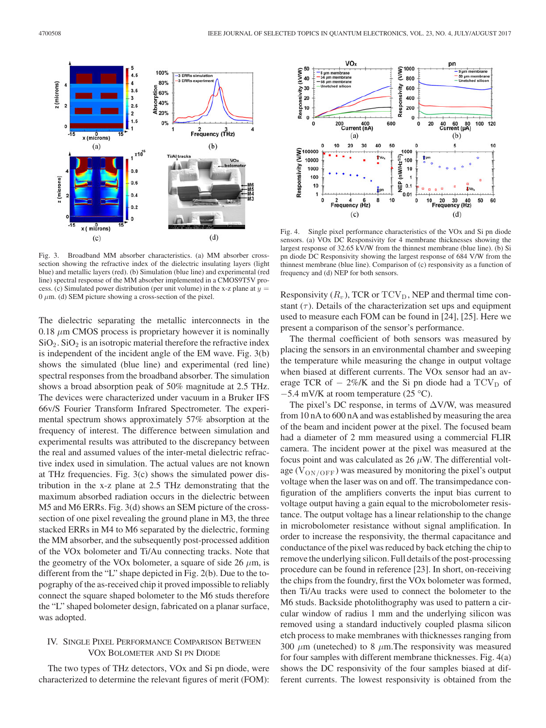

Fig. 3. Broadband MM absorber characteristics. (a) MM absorber crosssection showing the refractive index of the dielectric insulating layers (light blue) and metallic layers (red). (b) Simulation (blue line) and experimental (red line) spectral response of the MM absorber implemented in a CMOS9T5V process. (c) Simulated power distribution (per unit volume) in the x-z plane at  $y =$  $0 \mu$ m. (d) SEM picture showing a cross-section of the pixel.

The dielectric separating the metallic interconnects in the  $0.18 \mu m$  CMOS process is proprietary however it is nominally  $SiO<sub>2</sub>$ .  $SiO<sub>2</sub>$  is an isotropic material therefore the refractive index is independent of the incident angle of the EM wave. Fig. 3(b) shows the simulated (blue line) and experimental (red line) spectral responses from the broadband absorber. The simulation shows a broad absorption peak of 50% magnitude at 2.5 THz. The devices were characterized under vacuum in a Bruker IFS 66v/S Fourier Transform Infrared Spectrometer. The experimental spectrum shows approximately 57% absorption at the frequency of interest. The difference between simulation and experimental results was attributed to the discrepancy between the real and assumed values of the inter-metal dielectric refractive index used in simulation. The actual values are not known at THz frequencies. Fig. 3(c) shows the simulated power distribution in the x-z plane at 2.5 THz demonstrating that the maximum absorbed radiation occurs in the dielectric between M5 and M6 ERRs. Fig. 3(d) shows an SEM picture of the crosssection of one pixel revealing the ground plane in M3, the three stacked ERRs in M4 to M6 separated by the dielectric, forming the MM absorber, and the subsequently post-processed addition of the VOx bolometer and Ti/Au connecting tracks. Note that the geometry of the VOx bolometer, a square of side 26  $\mu$ m, is different from the "L" shape depicted in Fig. 2(b). Due to the topography of the as-received chip it proved impossible to reliably connect the square shaped bolometer to the M6 studs therefore the "L" shaped bolometer design, fabricated on a planar surface, was adopted.

# IV. SINGLE PIXEL PERFORMANCE COMPARISON BETWEEN VOX BOLOMETER AND SI PN DIODE

The two types of THz detectors, VOx and Si pn diode, were characterized to determine the relevant figures of merit (FOM):



Fig. 4. Single pixel performance characteristics of the VOx and Si pn diode sensors. (a) VOx DC Responsivity for 4 membrane thicknesses showing the largest response of 32.65 kV/W from the thinnest membrane (blue line). (b) Si pn diode DC Responsivity showing the largest response of 684 V/W from the thinnest membrane (blue line). Comparison of (c) responsivity as a function of frequency and (d) NEP for both sensors.

Responsivity  $(R_v)$ , TCR or TCV<sub>D</sub>, NEP and thermal time constant  $(\tau)$ . Details of the characterization set ups and equipment used to measure each FOM can be found in [24], [25]. Here we present a comparison of the sensor's performance.

The thermal coefficient of both sensors was measured by placing the sensors in an environmental chamber and sweeping the temperature while measuring the change in output voltage when biased at different currents. The VOx sensor had an average TCR of  $-$  2%/K and the Si pn diode had a TCV<sub>D</sub> of *<sup>−</sup>*5.4 mV/K at room temperature (25 °C).

The pixel's DC response, in terms of  $\Delta$ V/W, was measured from 10 nA to 600 nA and was established by measuring the area of the beam and incident power at the pixel. The focused beam had a diameter of 2 mm measured using a commercial FLIR camera. The incident power at the pixel was measured at the focus point and was calculated as  $26 \mu$ W. The differential voltage ( $V_{ON/OFF}$ ) was measured by monitoring the pixel's output voltage when the laser was on and off. The transimpedance configuration of the amplifiers converts the input bias current to voltage output having a gain equal to the microbolometer resistance. The output voltage has a linear relationship to the change in microbolometer resistance without signal amplification. In order to increase the responsivity, the thermal capacitance and conductance of the pixel was reduced by back etching the chip to remove the underlying silicon. Full details of the post-processing procedure can be found in reference [23]. In short, on-receiving the chips from the foundry, first the VOx bolometer was formed, then Ti/Au tracks were used to connect the bolometer to the M6 studs. Backside photolithography was used to pattern a circular window of radius 1 mm and the underlying silicon was removed using a standard inductively coupled plasma silicon etch process to make membranes with thicknesses ranging from 300  $\mu$ m (uneteched) to 8  $\mu$ m. The responsivity was measured for four samples with different membrane thicknesses. Fig. 4(a) shows the DC responsivity of the four samples biased at different currents. The lowest responsivity is obtained from the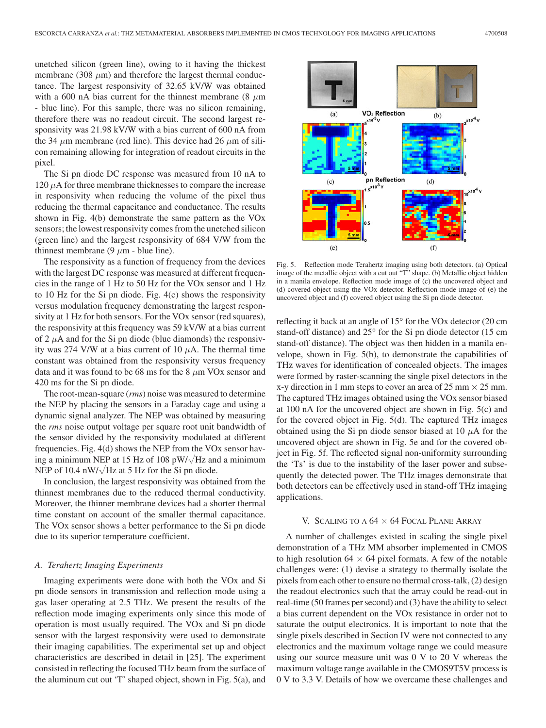with a 600 nA bias current for the thinnest membrane (8  $\mu$ m - blue line). For this sample, there was no silicon remaining, therefore there was no readout circuit. The second largest responsivity was 21.98 kV/W with a bias current of 600 nA from the 34  $\mu$ m membrane (red line). This device had 26  $\mu$ m of silicon remaining allowing for integration of readout circuits in the pixel.

The Si pn diode DC response was measured from 10 nA to  $120 \mu A$  for three membrane thicknesses to compare the increase in responsivity when reducing the volume of the pixel thus reducing the thermal capacitance and conductance. The results shown in Fig. 4(b) demonstrate the same pattern as the VOx sensors; the lowest responsivity comes from the unetched silicon (green line) and the largest responsivity of 684 V/W from the thinnest membrane (9  $\mu$ m - blue line).

The responsivity as a function of frequency from the devices with the largest DC response was measured at different frequencies in the range of 1 Hz to 50 Hz for the VOx sensor and 1 Hz to 10 Hz for the Si pn diode. Fig. 4(c) shows the responsivity versus modulation frequency demonstrating the largest responsivity at 1 Hz for both sensors. For the VOx sensor (red squares), the responsivity at this frequency was 59 kV/W at a bias current of 2  $\mu$ A and for the Si pn diode (blue diamonds) the responsivity was 274 V/W at a bias current of 10  $\mu$ A. The thermal time constant was obtained from the responsivity versus frequency data and it was found to be 68 ms for the 8  $\mu$ m VOx sensor and 420 ms for the Si pn diode.

The root-mean-square (*rms*) noise was measured to determine the NEP by placing the sensors in a Faraday cage and using a dynamic signal analyzer. The NEP was obtained by measuring the *rms* noise output voltage per square root unit bandwidth of the sensor divided by the responsivity modulated at different frequencies. Fig. 4(d) shows the NEP from the VOx sensor having a minimum NEP at 15 Hz of 108 pW/ $\sqrt{$ Hz and a minimum NEP of 10.4 nW/ $\sqrt{Hz}$  at 5 Hz for the Si pn diode.

In conclusion, the largest responsivity was obtained from the thinnest membranes due to the reduced thermal conductivity. Moreover, the thinner membrane devices had a shorter thermal time constant on account of the smaller thermal capacitance. The VOx sensor shows a better performance to the Si pn diode due to its superior temperature coefficient.

## *A. Terahertz Imaging Experiments*

Imaging experiments were done with both the VOx and Si pn diode sensors in transmission and reflection mode using a gas laser operating at 2.5 THz. We present the results of the reflection mode imaging experiments only since this mode of operation is most usually required. The VOx and Si pn diode sensor with the largest responsivity were used to demonstrate their imaging capabilities. The experimental set up and object characteristics are described in detail in [25]. The experiment consisted in reflecting the focused THz beam from the surface of the aluminum cut out 'T' shaped object, shown in Fig. 5(a), and



Fig. 5. Reflection mode Terahertz imaging using both detectors. (a) Optical image of the metallic object with a cut out "T" shape. (b) Metallic object hidden in a manila envelope. Reflection mode image of (c) the uncovered object and (d) covered object using the VOx detector. Reflection mode image of (e) the uncovered object and (f) covered object using the Si pn diode detector.

reflecting it back at an angle of 15° for the VOx detector (20 cm stand-off distance) and 25° for the Si pn diode detector (15 cm stand-off distance). The object was then hidden in a manila envelope, shown in Fig. 5(b), to demonstrate the capabilities of THz waves for identification of concealed objects. The images were formed by raster-scanning the single pixel detectors in the x-y direction in 1 mm steps to cover an area of 25 mm *×* 25 mm. The captured THz images obtained using the VOx sensor biased at 100 nA for the uncovered object are shown in Fig. 5(c) and for the covered object in Fig. 5(d). The captured THz images obtained using the Si pn diode sensor biased at 10  $\mu$ A for the uncovered object are shown in Fig. 5e and for the covered object in Fig. 5f. The reflected signal non-uniformity surrounding the 'Ts' is due to the instability of the laser power and subsequently the detected power. The THz images demonstrate that both detectors can be effectively used in stand-off THz imaging applications.

## V. SCALING TO A 64 *×* 64 FOCAL PLANE ARRAY

A number of challenges existed in scaling the single pixel demonstration of a THz MM absorber implemented in CMOS to high resolution  $64 \times 64$  pixel formats. A few of the notable challenges were: (1) devise a strategy to thermally isolate the pixels from each other to ensure no thermal cross-talk, (2) design the readout electronics such that the array could be read-out in real-time (50 frames per second) and (3) have the ability to select a bias current dependent on the VOx resistance in order not to saturate the output electronics. It is important to note that the single pixels described in Section IV were not connected to any electronics and the maximum voltage range we could measure using our source measure unit was 0 V to 20 V whereas the maximum voltage range available in the CMOS9T5V process is 0 V to 3.3 V. Details of how we overcame these challenges and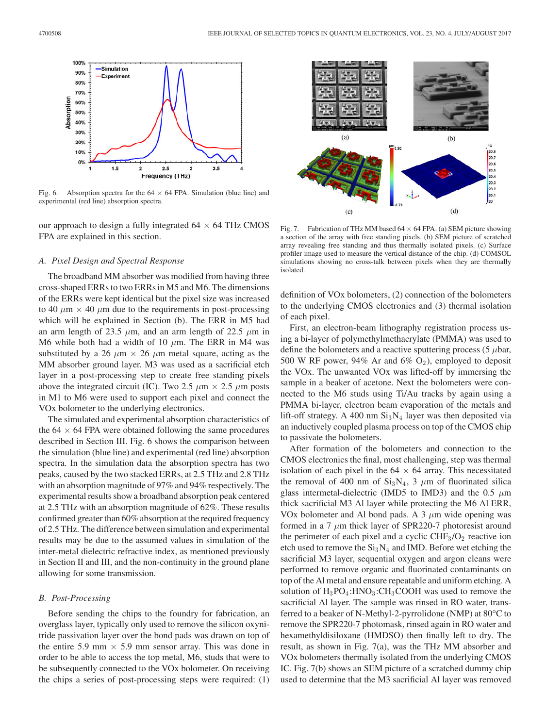

Fig. 6. Absorption spectra for the 64 *×* 64 FPA. Simulation (blue line) and experimental (red line) absorption spectra.

our approach to design a fully integrated  $64 \times 64$  THz CMOS FPA are explained in this section.

## *A. Pixel Design and Spectral Response*

The broadband MM absorber was modified from having three cross-shaped ERRs to two ERRs in M5 and M6. The dimensions of the ERRs were kept identical but the pixel size was increased to 40  $\mu$ m  $\times$  40  $\mu$ m due to the requirements in post-processing which will be explained in Section (b). The ERR in M5 had an arm length of 23.5  $\mu$ m, and an arm length of 22.5  $\mu$ m in M6 while both had a width of 10  $\mu$ m. The ERR in M4 was substituted by a 26  $\mu$ m  $\times$  26  $\mu$ m metal square, acting as the MM absorber ground layer. M3 was used as a sacrificial etch layer in a post-processing step to create free standing pixels above the integrated circuit (IC). Two 2.5  $\mu$ m  $\times$  2.5  $\mu$ m posts in M1 to M6 were used to support each pixel and connect the VOx bolometer to the underlying electronics.

The simulated and experimental absorption characteristics of the  $64 \times 64$  FPA were obtained following the same procedures described in Section III. Fig. 6 shows the comparison between the simulation (blue line) and experimental (red line) absorption spectra. In the simulation data the absorption spectra has two peaks, caused by the two stacked ERRs, at 2.5 THz and 2.8 THz with an absorption magnitude of 97% and 94% respectively. The experimental results show a broadband absorption peak centered at 2.5 THz with an absorption magnitude of 62%. These results confirmed greater than 60% absorption at the required frequency of 2.5 THz. The difference between simulation and experimental results may be due to the assumed values in simulation of the inter-metal dielectric refractive index, as mentioned previously in Section II and III, and the non-continuity in the ground plane allowing for some transmission.

## *B. Post-Processing*

Before sending the chips to the foundry for fabrication, an overglass layer, typically only used to remove the silicon oxynitride passivation layer over the bond pads was drawn on top of the entire 5.9 mm  $\times$  5.9 mm sensor array. This was done in order to be able to access the top metal, M6, studs that were to be subsequently connected to the VOx bolometer. On receiving the chips a series of post-processing steps were required: (1)



Fig. 7. Fabrication of THz MM based 64 *×* 64 FPA. (a) SEM picture showing a section of the array with free standing pixels. (b) SEM picture of scratched array revealing free standing and thus thermally isolated pixels. (c) Surface profiler image used to measure the vertical distance of the chip. (d) COMSOL simulations showing no cross-talk between pixels when they are thermally isolated.

definition of VOx bolometers, (2) connection of the bolometers to the underlying CMOS electronics and (3) thermal isolation of each pixel.

First, an electron-beam lithography registration process using a bi-layer of polymethylmethacrylate (PMMA) was used to define the bolometers and a reactive sputtering process (5  $\mu$ bar, 500 W RF power, 94% Ar and 6%  $O_2$ ), employed to deposit the VOx. The unwanted VOx was lifted-off by immersing the sample in a beaker of acetone. Next the bolometers were connected to the M6 studs using Ti/Au tracks by again using a PMMA bi-layer, electron beam evaporation of the metals and lift-off strategy. A 400 nm  $Si<sub>3</sub>N<sub>4</sub>$  layer was then deposited via an inductively coupled plasma process on top of the CMOS chip to passivate the bolometers.

After formation of the bolometers and connection to the CMOS electronics the final, most challenging, step was thermal isolation of each pixel in the  $64 \times 64$  array. This necessitated the removal of 400 nm of  $Si<sub>3</sub>N<sub>4</sub>$ , 3  $\mu$ m of fluorinated silica glass intermetal-dielectric (IMD5 to IMD3) and the 0.5  $\mu$ m thick sacrificial M3 Al layer while protecting the M6 Al ERR, VOx bolometer and Al bond pads. A 3  $\mu$ m wide opening was formed in a 7  $\mu$ m thick layer of SPR220-7 photoresist around the perimeter of each pixel and a cyclic  $CHF<sub>3</sub>/O<sub>2</sub>$  reactive ion etch used to remove the  $Si<sub>3</sub>N<sub>4</sub>$  and IMD. Before wet etching the sacrificial M3 layer, sequential oxygen and argon cleans were performed to remove organic and fluorinated contaminants on top of the Al metal and ensure repeatable and uniform etching. A solution of  $H_3PO_4$ : $HNO_3$ : $CH_3COOH$  was used to remove the sacrificial Al layer. The sample was rinsed in RO water, transferred to a beaker of N-Methyl-2-pyrrolidone (NMP) at 80°C to remove the SPR220-7 photomask, rinsed again in RO water and hexamethyldisiloxane (HMDSO) then finally left to dry. The result, as shown in Fig. 7(a), was the THz MM absorber and VOx bolometers thermally isolated from the underlying CMOS IC. Fig. 7(b) shows an SEM picture of a scratched dummy chip used to determine that the M3 sacrificial Al layer was removed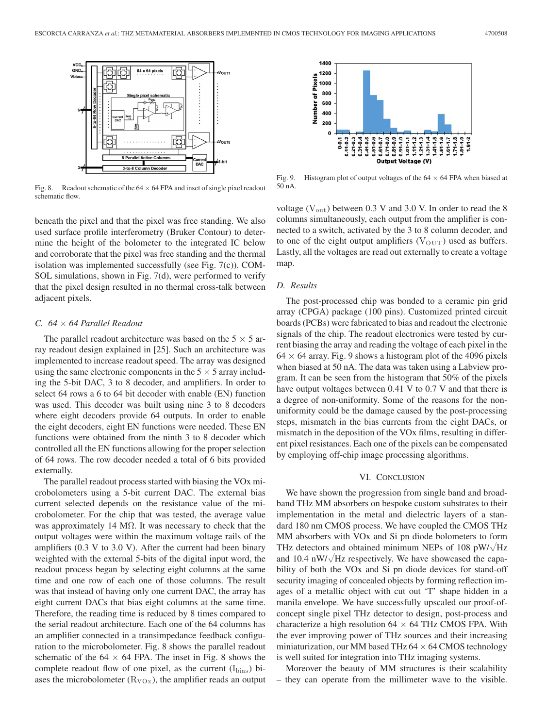

Fig. 8. Readout schematic of the  $64 \times 64$  FPA and inset of single pixel readout schematic flow.

beneath the pixel and that the pixel was free standing. We also used surface profile interferometry (Bruker Contour) to determine the height of the bolometer to the integrated IC below and corroborate that the pixel was free standing and the thermal isolation was implemented successfully (see Fig. 7(c)). COM-SOL simulations, shown in Fig. 7(d), were performed to verify that the pixel design resulted in no thermal cross-talk between adjacent pixels.

## *C. 64 × 64 Parallel Readout*

The parallel readout architecture was based on the 5 *×* 5 array readout design explained in [25]. Such an architecture was implemented to increase readout speed. The array was designed using the same electronic components in the  $5 \times 5$  array including the 5-bit DAC, 3 to 8 decoder, and amplifiers. In order to select 64 rows a 6 to 64 bit decoder with enable (EN) function was used. This decoder was built using nine 3 to 8 decoders where eight decoders provide 64 outputs. In order to enable the eight decoders, eight EN functions were needed. These EN functions were obtained from the ninth 3 to 8 decoder which controlled all the EN functions allowing for the proper selection of 64 rows. The row decoder needed a total of 6 bits provided externally.

The parallel readout process started with biasing the VOx microbolometers using a 5-bit current DAC. The external bias current selected depends on the resistance value of the microbolometer. For the chip that was tested, the average value was approximately 14 M $\Omega$ . It was necessary to check that the output voltages were within the maximum voltage rails of the amplifiers (0.3 V to 3.0 V). After the current had been binary weighted with the external 5-bits of the digital input word, the readout process began by selecting eight columns at the same time and one row of each one of those columns. The result was that instead of having only one current DAC, the array has eight current DACs that bias eight columns at the same time. Therefore, the reading time is reduced by 8 times compared to the serial readout architecture. Each one of the 64 columns has an amplifier connected in a transimpedance feedback configuration to the microbolometer. Fig. 8 shows the parallel readout schematic of the  $64 \times 64$  FPA. The inset in Fig. 8 shows the complete readout flow of one pixel, as the current  $(I_{bias})$  biases the microbolometer  $(R_{VOx})$ , the amplifier reads an output



Fig. 9. Histogram plot of output voltages of the 64 *×* 64 FPA when biased at 50 nA.

voltage ( $V_{\text{out}}$ ) between 0.3 V and 3.0 V. In order to read the 8 columns simultaneously, each output from the amplifier is connected to a switch, activated by the 3 to 8 column decoder, and to one of the eight output amplifiers ( $V_{\text{OUT}}$ ) used as buffers. Lastly, all the voltages are read out externally to create a voltage map.

#### *D. Results*

The post-processed chip was bonded to a ceramic pin grid array (CPGA) package (100 pins). Customized printed circuit boards (PCBs) were fabricated to bias and readout the electronic signals of the chip. The readout electronics were tested by current biasing the array and reading the voltage of each pixel in the 64 *×* 64 array. Fig. 9 shows a histogram plot of the 4096 pixels when biased at 50 nA. The data was taken using a Labview program. It can be seen from the histogram that 50% of the pixels have output voltages between 0.41 V to 0.7 V and that there is a degree of non-uniformity. Some of the reasons for the nonuniformity could be the damage caused by the post-processing steps, mismatch in the bias currents from the eight DACs, or mismatch in the deposition of the VOx films, resulting in different pixel resistances. Each one of the pixels can be compensated by employing off-chip image processing algorithms.

## VI. CONCLUSION

We have shown the progression from single band and broadband THz MM absorbers on bespoke custom substrates to their implementation in the metal and dielectric layers of a standard 180 nm CMOS process. We have coupled the CMOS THz MM absorbers with VOx and Si pn diode bolometers to form THz detectors and obtained minimum NEPs of 108 pW/ $\sqrt{Hz}$ and 10.4 nW/ $\sqrt{Hz}$  respectively. We have showcased the capability of both the VOx and Si pn diode devices for stand-off security imaging of concealed objects by forming reflection images of a metallic object with cut out 'T' shape hidden in a manila envelope. We have successfully upscaled our proof-ofconcept single pixel THz detector to design, post-process and characterize a high resolution 64 *×* 64 THz CMOS FPA. With the ever improving power of THz sources and their increasing miniaturization, our MM based THz 64 *×* 64 CMOS technology is well suited for integration into THz imaging systems.

Moreover the beauty of MM structures is their scalability – they can operate from the millimeter wave to the visible.